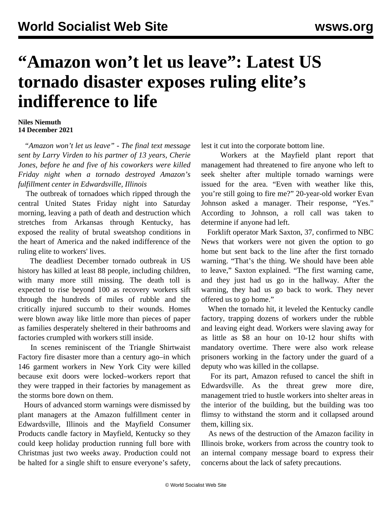## **"Amazon won't let us leave": Latest US tornado disaster exposes ruling elite's indifference to life**

## **Niles Niemuth 14 December 2021**

 *"Amazon won't let us leave" - The final text message sent by Larry Virden to his partner of 13 years, Cherie Jones, before he and five of his coworkers were killed Friday night when a tornado destroyed Amazon's fulfillment center in Edwardsville, Illinois*

 The outbreak of tornadoes which ripped through the central United States Friday night into Saturday morning, leaving a path of death and destruction which stretches from Arkansas through Kentucky, has exposed the reality of brutal sweatshop conditions in the heart of America and the naked indifference of the ruling elite to workers' lives.

 The deadliest December tornado outbreak in US history has killed at least 88 people, including children, with many more still missing. The death toll is expected to rise beyond 100 as recovery workers sift through the hundreds of miles of rubble and the critically injured succumb to their wounds. Homes were blown away like little more than pieces of paper as families desperately sheltered in their bathrooms and factories crumpled with workers still inside.

 In scenes reminiscent of the Triangle Shirtwaist Factory fire disaster more than a century ago–in which 146 garment workers in New York City were killed because exit doors were locked–workers report that they were trapped in their factories by management as the storms bore down on them.

 Hours of advanced storm warnings were dismissed by plant managers at the Amazon fulfillment center in Edwardsville, Illinois and the Mayfield Consumer Products candle factory in Mayfield, Kentucky so they could keep holiday production running full bore with Christmas just two weeks away. Production could not be halted for a single shift to ensure everyone's safety, lest it cut into the corporate bottom line.

 Workers at the Mayfield plant report that management had threatened to fire anyone who left to seek shelter after multiple tornado warnings were issued for the area. "Even with weather like this, you're still going to fire me?" 20-year-old worker Evan Johnson asked a manager. Their response, "Yes." According to Johnson, a roll call was taken to determine if anyone had left.

 Forklift operator Mark Saxton, 37, confirmed to NBC News that workers were not given the option to go home but sent back to the line after the first tornado warning. "That's the thing. We should have been able to leave," Saxton explained. "The first warning came, and they just had us go in the hallway. After the warning, they had us go back to work. They never offered us to go home."

 When the tornado hit, it leveled the Kentucky candle factory, trapping dozens of workers under the rubble and leaving eight dead. Workers were slaving away for as little as \$8 an hour on 10-12 hour shifts with mandatory overtime. There were also work release prisoners working in the factory under the guard of a deputy who was killed in the collapse.

 For its part, Amazon refused to cancel the shift in Edwardsville. As the threat grew more dire, management tried to hustle workers into shelter areas in the interior of the building, but the building was too flimsy to withstand the storm and it collapsed around them, killing six.

 As news of the destruction of the Amazon facility in Illinois broke, workers from across the country took to an internal company message board to express their concerns about the lack of safety precautions.